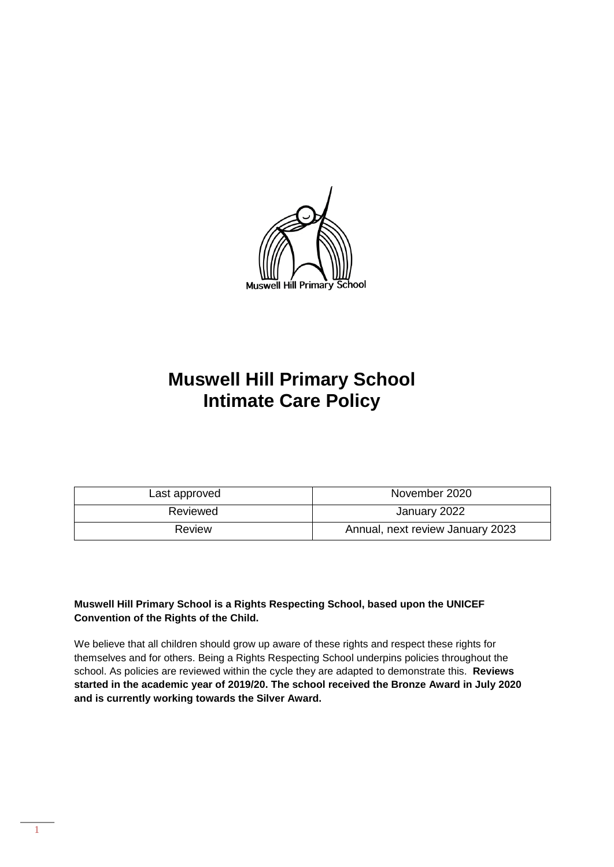

# **Muswell Hill Primary School Intimate Care Policy**

| Last approved | November 2020                    |  |
|---------------|----------------------------------|--|
| Reviewed      | January 2022                     |  |
| Review        | Annual, next review January 2023 |  |

#### **Muswell Hill Primary School is a Rights Respecting School, based upon the UNICEF Convention of the Rights of the Child.**

We believe that all children should grow up aware of these rights and respect these rights for themselves and for others. Being a Rights Respecting School underpins policies throughout the school. As policies are reviewed within the cycle they are adapted to demonstrate this. **Reviews started in the academic year of 2019/20. The school received the Bronze Award in July 2020 and is currently working towards the Silver Award.**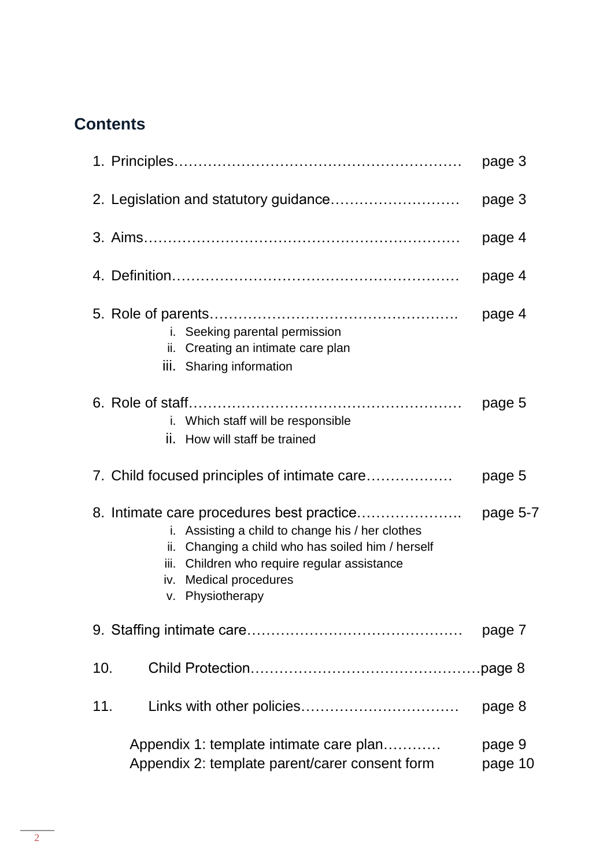# **Contents**

|                                                                                                                                                                                                           | page 3            |
|-----------------------------------------------------------------------------------------------------------------------------------------------------------------------------------------------------------|-------------------|
|                                                                                                                                                                                                           | page 3            |
|                                                                                                                                                                                                           | page 4            |
|                                                                                                                                                                                                           | page 4            |
| i. Seeking parental permission<br>ii. Creating an intimate care plan<br>iii. Sharing information                                                                                                          | page 4            |
| i. Which staff will be responsible<br>How will staff be trained<br>ii.                                                                                                                                    | page 5            |
| 7. Child focused principles of intimate care                                                                                                                                                              | page 5            |
| Assisting a child to change his / her clothes<br>i.<br>ii. Changing a child who has soiled him / herself<br>Children who require regular assistance<br>iii.<br>iv. Medical procedures<br>v. Physiotherapy | page 5-7          |
|                                                                                                                                                                                                           | page 7            |
| 10.                                                                                                                                                                                                       |                   |
| 11.                                                                                                                                                                                                       | page 8            |
| Appendix 1: template intimate care plan<br>Appendix 2: template parent/carer consent form                                                                                                                 | page 9<br>page 10 |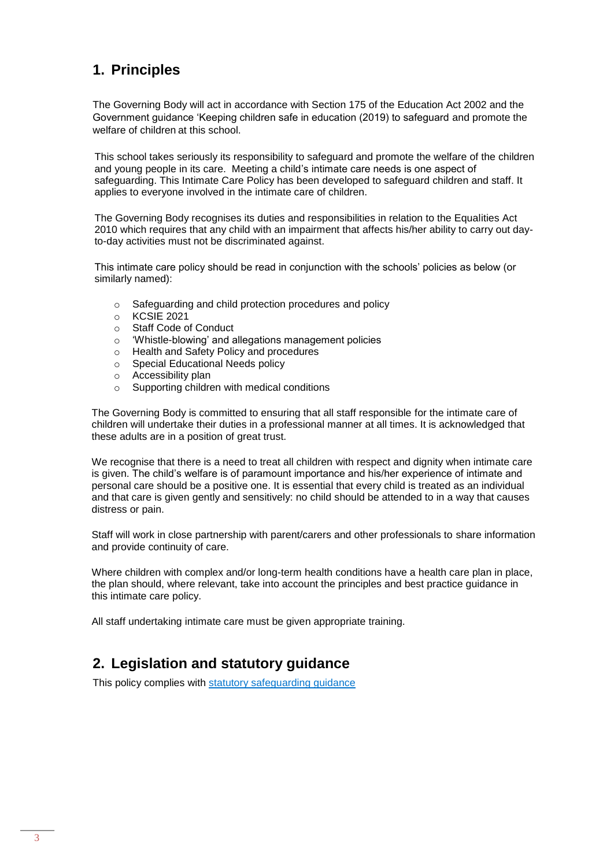# **1. Principles**

The Governing Body will act in accordance with Section 175 of the Education Act 2002 and the Government guidance 'Keeping children safe in education (2019) to safeguard and promote the welfare of children at this school.

This school takes seriously its responsibility to safeguard and promote the welfare of the children and young people in its care. Meeting a child's intimate care needs is one aspect of safeguarding. This Intimate Care Policy has been developed to safeguard children and staff. It applies to everyone involved in the intimate care of children.

The Governing Body recognises its duties and responsibilities in relation to the Equalities Act 2010 which requires that any child with an impairment that affects his/her ability to carry out dayto-day activities must not be discriminated against.

This intimate care policy should be read in conjunction with the schools' policies as below (or similarly named):

- o Safeguarding and child protection procedures and policy
- o KCSIE 2021
- o Staff Code of Conduct
- o 'Whistle-blowing' and allegations management policies
- o Health and Safety Policy and procedures
- o Special Educational Needs policy
- o Accessibility plan
- Supporting children with medical conditions

The Governing Body is committed to ensuring that all staff responsible for the intimate care of children will undertake their duties in a professional manner at all times. It is acknowledged that these adults are in a position of great trust.

We recognise that there is a need to treat all children with respect and dignity when intimate care is given. The child's welfare is of paramount importance and his/her experience of intimate and personal care should be a positive one. It is essential that every child is treated as an individual and that care is given gently and sensitively: no child should be attended to in a way that causes distress or pain.

Staff will work in close partnership with parent/carers and other professionals to share information and provide continuity of care.

Where children with complex and/or long-term health conditions have a health care plan in place, the plan should, where relevant, take into account the principles and best practice guidance in this intimate care policy.

All staff undertaking intimate care must be given appropriate training.

## **2. Legislation and statutory guidance**

This policy complies with [statutory safeguarding guidance](https://www.gov.uk/government/publications/keeping-children-safe-in-education--2)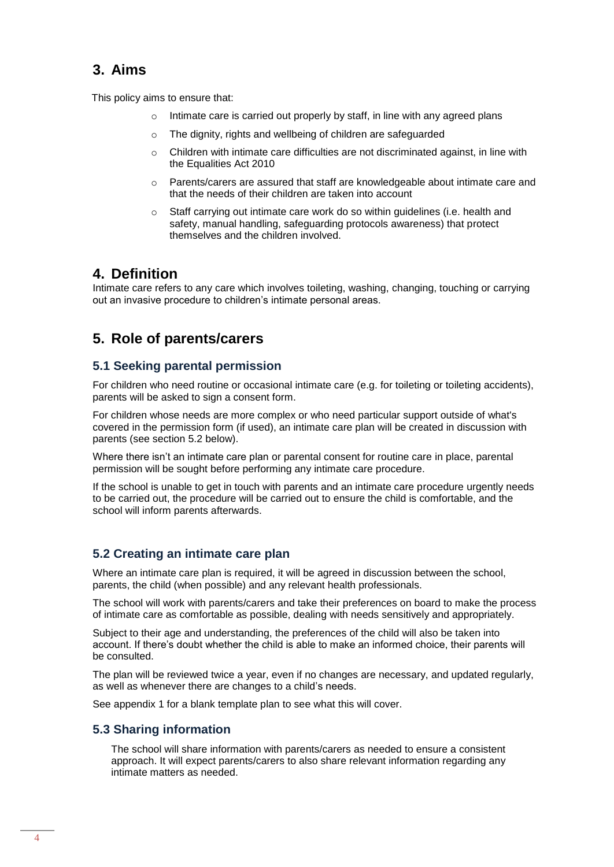## **3. Aims**

This policy aims to ensure that:

- o Intimate care is carried out properly by staff, in line with any agreed plans
- o The dignity, rights and wellbeing of children are safeguarded
- Children with intimate care difficulties are not discriminated against, in line with the Equalities Act 2010
- $\circ$  Parents/carers are assured that staff are knowledgeable about intimate care and that the needs of their children are taken into account
- $\circ$  Staff carrying out intimate care work do so within guidelines (i.e. health and safety, manual handling, safeguarding protocols awareness) that protect themselves and the children involved.

### **4. Definition**

Intimate care refers to any care which involves toileting, washing, changing, touching or carrying out an invasive procedure to children's intimate personal areas.

# **5. Role of parents/carers**

#### **5.1 Seeking parental permission**

For children who need routine or occasional intimate care (e.g. for toileting or toileting accidents), parents will be asked to sign a consent form.

For children whose needs are more complex or who need particular support outside of what's covered in the permission form (if used), an intimate care plan will be created in discussion with parents (see section 5.2 below).

Where there isn't an intimate care plan or parental consent for routine care in place, parental permission will be sought before performing any intimate care procedure.

If the school is unable to get in touch with parents and an intimate care procedure urgently needs to be carried out, the procedure will be carried out to ensure the child is comfortable, and the school will inform parents afterwards.

#### **5.2 Creating an intimate care plan**

Where an intimate care plan is required, it will be agreed in discussion between the school, parents, the child (when possible) and any relevant health professionals.

The school will work with parents/carers and take their preferences on board to make the process of intimate care as comfortable as possible, dealing with needs sensitively and appropriately.

Subject to their age and understanding, the preferences of the child will also be taken into account. If there's doubt whether the child is able to make an informed choice, their parents will be consulted.

The plan will be reviewed twice a year, even if no changes are necessary, and updated regularly, as well as whenever there are changes to a child's needs.

See appendix 1 for a blank template plan to see what this will cover.

#### **5.3 Sharing information**

The school will share information with parents/carers as needed to ensure a consistent approach. It will expect parents/carers to also share relevant information regarding any intimate matters as needed.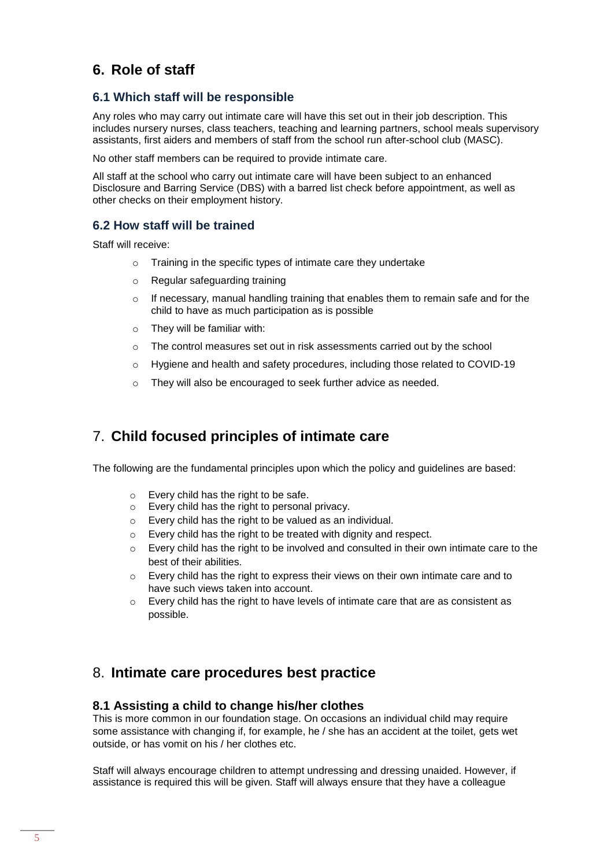## **6. Role of staff**

#### **6.1 Which staff will be responsible**

Any roles who may carry out intimate care will have this set out in their job description. This includes nursery nurses, class teachers, teaching and learning partners, school meals supervisory assistants, first aiders and members of staff from the school run after-school club (MASC).

No other staff members can be required to provide intimate care.

All staff at the school who carry out intimate care will have been subject to an enhanced Disclosure and Barring Service (DBS) with a barred list check before appointment, as well as other checks on their employment history.

#### **6.2 How staff will be trained**

Staff will receive:

- o Training in the specific types of intimate care they undertake
- o Regular safeguarding training
- $\circ$  If necessary, manual handling training that enables them to remain safe and for the child to have as much participation as is possible
- o They will be familiar with:
- $\circ$  The control measures set out in risk assessments carried out by the school
- o Hygiene and health and safety procedures, including those related to COVID-19
- o They will also be encouraged to seek further advice as needed.

## 7. **Child focused principles of intimate care**

The following are the fundamental principles upon which the policy and guidelines are based:

- o Every child has the right to be safe.
- o Every child has the right to personal privacy.
- o Every child has the right to be valued as an individual.
- o Every child has the right to be treated with dignity and respect.
- $\circ$  Every child has the right to be involved and consulted in their own intimate care to the best of their abilities.
- o Every child has the right to express their views on their own intimate care and to have such views taken into account.
- o Every child has the right to have levels of intimate care that are as consistent as possible.

## 8. **Intimate care procedures best practice**

#### **8.1 Assisting a child to change his/her clothes**

This is more common in our foundation stage. On occasions an individual child may require some assistance with changing if, for example, he / she has an accident at the toilet, gets wet outside, or has vomit on his / her clothes etc.

Staff will always encourage children to attempt undressing and dressing unaided. However, if assistance is required this will be given. Staff will always ensure that they have a colleague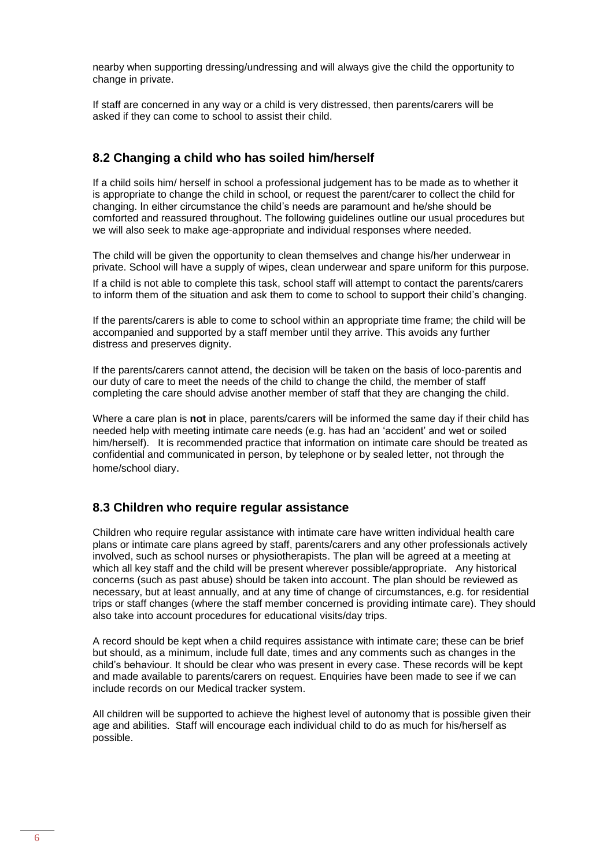nearby when supporting dressing/undressing and will always give the child the opportunity to change in private.

If staff are concerned in any way or a child is very distressed, then parents/carers will be asked if they can come to school to assist their child.

#### **8.2 Changing a child who has soiled him/herself**

If a child soils him/ herself in school a professional judgement has to be made as to whether it is appropriate to change the child in school, or request the parent/carer to collect the child for changing. In either circumstance the child's needs are paramount and he/she should be comforted and reassured throughout. The following guidelines outline our usual procedures but we will also seek to make age-appropriate and individual responses where needed.

The child will be given the opportunity to clean themselves and change his/her underwear in private. School will have a supply of wipes, clean underwear and spare uniform for this purpose.

If a child is not able to complete this task, school staff will attempt to contact the parents/carers to inform them of the situation and ask them to come to school to support their child's changing.

If the parents/carers is able to come to school within an appropriate time frame; the child will be accompanied and supported by a staff member until they arrive. This avoids any further distress and preserves dignity.

If the parents/carers cannot attend, the decision will be taken on the basis of loco-parentis and our duty of care to meet the needs of the child to change the child, the member of staff completing the care should advise another member of staff that they are changing the child.

Where a care plan is **not** in place, parents/carers will be informed the same day if their child has needed help with meeting intimate care needs (e.g. has had an 'accident' and wet or soiled him/herself). It is recommended practice that information on intimate care should be treated as confidential and communicated in person, by telephone or by sealed letter, not through the home/school diary.

#### **8.3 Children who require regular assistance**

Children who require regular assistance with intimate care have written individual health care plans or intimate care plans agreed by staff, parents/carers and any other professionals actively involved, such as school nurses or physiotherapists. The plan will be agreed at a meeting at which all key staff and the child will be present wherever possible/appropriate. Any historical concerns (such as past abuse) should be taken into account. The plan should be reviewed as necessary, but at least annually, and at any time of change of circumstances, e.g. for residential trips or staff changes (where the staff member concerned is providing intimate care). They should also take into account procedures for educational visits/day trips.

A record should be kept when a child requires assistance with intimate care; these can be brief but should, as a minimum, include full date, times and any comments such as changes in the child's behaviour. It should be clear who was present in every case. These records will be kept and made available to parents/carers on request. Enquiries have been made to see if we can include records on our Medical tracker system.

All children will be supported to achieve the highest level of autonomy that is possible given their age and abilities. Staff will encourage each individual child to do as much for his/herself as possible.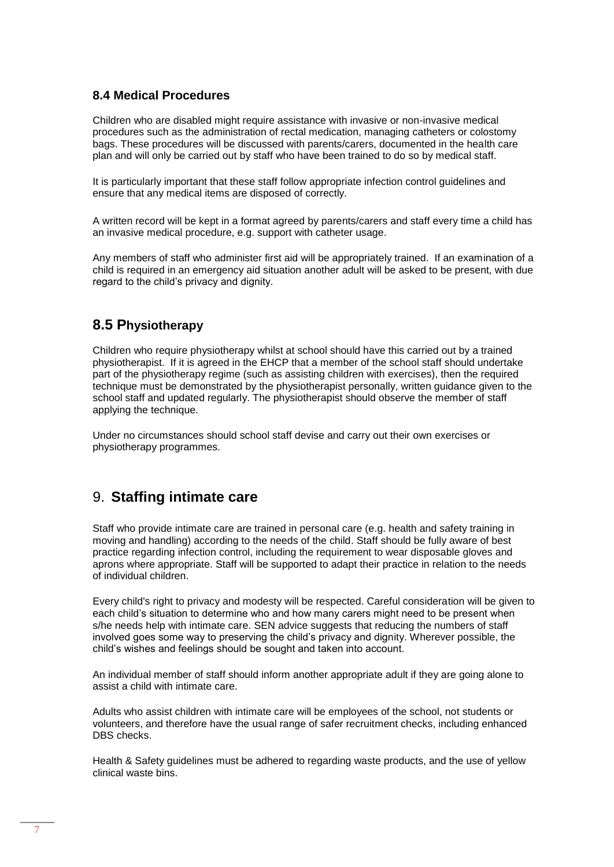#### **8.4 Medical Procedures**

Children who are disabled might require assistance with invasive or non-invasive medical procedures such as the administration of rectal medication, managing catheters or colostomy bags. These procedures will be discussed with parents/carers, documented in the health care plan and will only be carried out by staff who have been trained to do so by medical staff.

It is particularly important that these staff follow appropriate infection control guidelines and ensure that any medical items are disposed of correctly.

A written record will be kept in a format agreed by parents/carers and staff every time a child has an invasive medical procedure, e.g. support with catheter usage.

Any members of staff who administer first aid will be appropriately trained. If an examination of a child is required in an emergency aid situation another adult will be asked to be present, with due regard to the child's privacy and dignity.

#### **8.5 Physiotherapy**

Children who require physiotherapy whilst at school should have this carried out by a trained physiotherapist. If it is agreed in the EHCP that a member of the school staff should undertake part of the physiotherapy regime (such as assisting children with exercises), then the required technique must be demonstrated by the physiotherapist personally, written guidance given to the school staff and updated regularly. The physiotherapist should observe the member of staff applying the technique.

Under no circumstances should school staff devise and carry out their own exercises or physiotherapy programmes.

## 9. **Staffing intimate care**

Staff who provide intimate care are trained in personal care (e.g. health and safety training in moving and handling) according to the needs of the child. Staff should be fully aware of best practice regarding infection control, including the requirement to wear disposable gloves and aprons where appropriate. Staff will be supported to adapt their practice in relation to the needs of individual children.

Every child's right to privacy and modesty will be respected. Careful consideration will be given to each child's situation to determine who and how many carers might need to be present when s/he needs help with intimate care. SEN advice suggests that reducing the numbers of staff involved goes some way to preserving the child's privacy and dignity. Wherever possible, the child's wishes and feelings should be sought and taken into account.

An individual member of staff should inform another appropriate adult if they are going alone to assist a child with intimate care.

Adults who assist children with intimate care will be employees of the school, not students or volunteers, and therefore have the usual range of safer recruitment checks, including enhanced DBS checks.

Health & Safety guidelines must be adhered to regarding waste products, and the use of yellow clinical waste bins.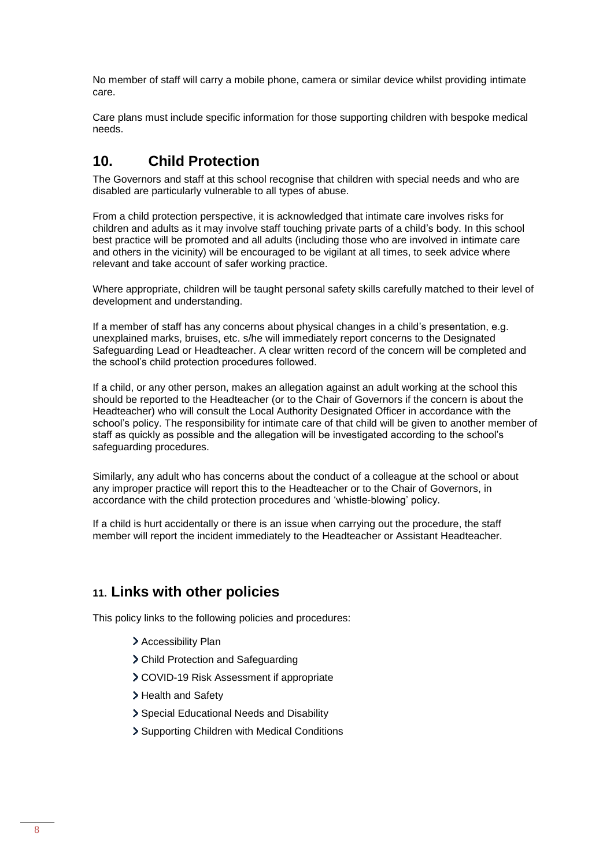No member of staff will carry a mobile phone, camera or similar device whilst providing intimate care.

Care plans must include specific information for those supporting children with bespoke medical needs.

# **10. Child Protection**

The Governors and staff at this school recognise that children with special needs and who are disabled are particularly vulnerable to all types of abuse.

From a child protection perspective, it is acknowledged that intimate care involves risks for children and adults as it may involve staff touching private parts of a child's body. In this school best practice will be promoted and all adults (including those who are involved in intimate care and others in the vicinity) will be encouraged to be vigilant at all times, to seek advice where relevant and take account of safer working practice.

Where appropriate, children will be taught personal safety skills carefully matched to their level of development and understanding.

If a member of staff has any concerns about physical changes in a child's presentation, e.g. unexplained marks, bruises, etc. s/he will immediately report concerns to the Designated Safeguarding Lead or Headteacher. A clear written record of the concern will be completed and the school's child protection procedures followed.

If a child, or any other person, makes an allegation against an adult working at the school this should be reported to the Headteacher (or to the Chair of Governors if the concern is about the Headteacher) who will consult the Local Authority Designated Officer in accordance with the school's policy. The responsibility for intimate care of that child will be given to another member of staff as quickly as possible and the allegation will be investigated according to the school's safeguarding procedures.

Similarly, any adult who has concerns about the conduct of a colleague at the school or about any improper practice will report this to the Headteacher or to the Chair of Governors, in accordance with the child protection procedures and 'whistle-blowing' policy.

If a child is hurt accidentally or there is an issue when carrying out the procedure, the staff member will report the incident immediately to the Headteacher or Assistant Headteacher.

## **11. Links with other policies**

This policy links to the following policies and procedures:

- > Accessibility Plan
- Child Protection and Safeguarding
- COVID-19 Risk Assessment if appropriate
- > Health and Safety
- Special Educational Needs and Disability
- Supporting Children with Medical Conditions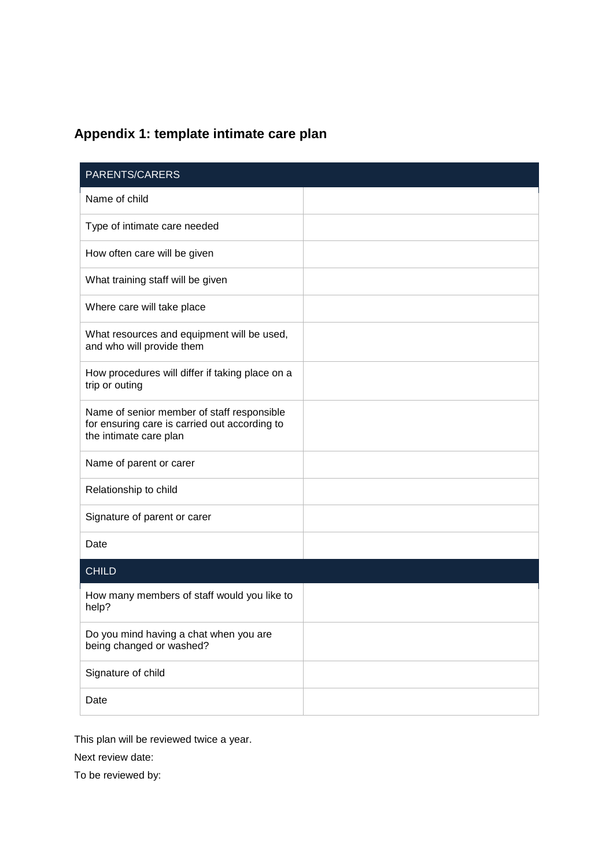# **Appendix 1: template intimate care plan**

| PARENTS/CARERS                                                                                                        |  |
|-----------------------------------------------------------------------------------------------------------------------|--|
| Name of child                                                                                                         |  |
| Type of intimate care needed                                                                                          |  |
| How often care will be given                                                                                          |  |
| What training staff will be given                                                                                     |  |
| Where care will take place                                                                                            |  |
| What resources and equipment will be used,<br>and who will provide them                                               |  |
| How procedures will differ if taking place on a<br>trip or outing                                                     |  |
| Name of senior member of staff responsible<br>for ensuring care is carried out according to<br>the intimate care plan |  |
| Name of parent or carer                                                                                               |  |
| Relationship to child                                                                                                 |  |
| Signature of parent or carer                                                                                          |  |
| Date                                                                                                                  |  |
| <b>CHILD</b>                                                                                                          |  |
| How many members of staff would you like to<br>help?                                                                  |  |
| Do you mind having a chat when you are<br>being changed or washed?                                                    |  |
| Signature of child                                                                                                    |  |
| Date                                                                                                                  |  |

This plan will be reviewed twice a year.

Next review date:

To be reviewed by: